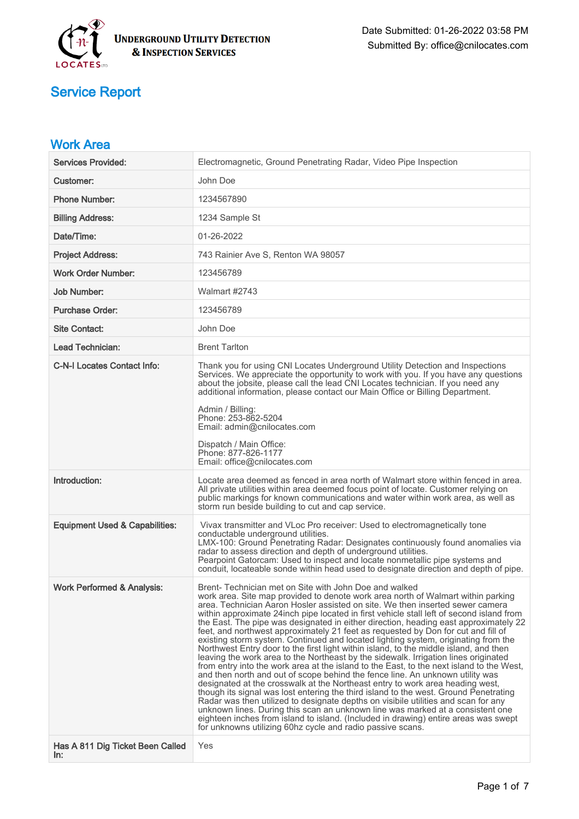

| <b>Work Area</b>                          |                                                                                                                                                                                                                                                                                                                                                                                                                                                                                                                                                                                                                                                                                                                                                                                                                                                                                                                                                                                                                                                                                                                                                                                                                                                                                                                                                                                                                                                                |
|-------------------------------------------|----------------------------------------------------------------------------------------------------------------------------------------------------------------------------------------------------------------------------------------------------------------------------------------------------------------------------------------------------------------------------------------------------------------------------------------------------------------------------------------------------------------------------------------------------------------------------------------------------------------------------------------------------------------------------------------------------------------------------------------------------------------------------------------------------------------------------------------------------------------------------------------------------------------------------------------------------------------------------------------------------------------------------------------------------------------------------------------------------------------------------------------------------------------------------------------------------------------------------------------------------------------------------------------------------------------------------------------------------------------------------------------------------------------------------------------------------------------|
| <b>Services Provided:</b>                 | Electromagnetic, Ground Penetrating Radar, Video Pipe Inspection                                                                                                                                                                                                                                                                                                                                                                                                                                                                                                                                                                                                                                                                                                                                                                                                                                                                                                                                                                                                                                                                                                                                                                                                                                                                                                                                                                                               |
| Customer:                                 | John Doe                                                                                                                                                                                                                                                                                                                                                                                                                                                                                                                                                                                                                                                                                                                                                                                                                                                                                                                                                                                                                                                                                                                                                                                                                                                                                                                                                                                                                                                       |
| <b>Phone Number:</b>                      | 1234567890                                                                                                                                                                                                                                                                                                                                                                                                                                                                                                                                                                                                                                                                                                                                                                                                                                                                                                                                                                                                                                                                                                                                                                                                                                                                                                                                                                                                                                                     |
| <b>Billing Address:</b>                   | 1234 Sample St                                                                                                                                                                                                                                                                                                                                                                                                                                                                                                                                                                                                                                                                                                                                                                                                                                                                                                                                                                                                                                                                                                                                                                                                                                                                                                                                                                                                                                                 |
| Date/Time:                                | 01-26-2022                                                                                                                                                                                                                                                                                                                                                                                                                                                                                                                                                                                                                                                                                                                                                                                                                                                                                                                                                                                                                                                                                                                                                                                                                                                                                                                                                                                                                                                     |
| <b>Project Address:</b>                   | 743 Rainier Ave S, Renton WA 98057                                                                                                                                                                                                                                                                                                                                                                                                                                                                                                                                                                                                                                                                                                                                                                                                                                                                                                                                                                                                                                                                                                                                                                                                                                                                                                                                                                                                                             |
| <b>Work Order Number:</b>                 | 123456789                                                                                                                                                                                                                                                                                                                                                                                                                                                                                                                                                                                                                                                                                                                                                                                                                                                                                                                                                                                                                                                                                                                                                                                                                                                                                                                                                                                                                                                      |
| <b>Job Number:</b>                        | Walmart #2743                                                                                                                                                                                                                                                                                                                                                                                                                                                                                                                                                                                                                                                                                                                                                                                                                                                                                                                                                                                                                                                                                                                                                                                                                                                                                                                                                                                                                                                  |
| <b>Purchase Order:</b>                    | 123456789                                                                                                                                                                                                                                                                                                                                                                                                                                                                                                                                                                                                                                                                                                                                                                                                                                                                                                                                                                                                                                                                                                                                                                                                                                                                                                                                                                                                                                                      |
| <b>Site Contact:</b>                      | John Doe                                                                                                                                                                                                                                                                                                                                                                                                                                                                                                                                                                                                                                                                                                                                                                                                                                                                                                                                                                                                                                                                                                                                                                                                                                                                                                                                                                                                                                                       |
| Lead Technician:                          | <b>Brent Tarlton</b>                                                                                                                                                                                                                                                                                                                                                                                                                                                                                                                                                                                                                                                                                                                                                                                                                                                                                                                                                                                                                                                                                                                                                                                                                                                                                                                                                                                                                                           |
| <b>C-N-I Locates Contact Info:</b>        | Thank you for using CNI Locates Underground Utility Detection and Inspections<br>Services. We appreciate the opportunity to work with you. If you have any questions<br>about the jobsite, please call the lead CNI Locates technician. If you need any<br>additional information, please contact our Main Office or Billing Department.<br>Admin / Billing:<br>Phone: 253-862-5204<br>Email: admin@cnilocates.com                                                                                                                                                                                                                                                                                                                                                                                                                                                                                                                                                                                                                                                                                                                                                                                                                                                                                                                                                                                                                                             |
|                                           | Dispatch / Main Office:<br>Phone: 877-826-1177<br>Email: office@cnilocates.com                                                                                                                                                                                                                                                                                                                                                                                                                                                                                                                                                                                                                                                                                                                                                                                                                                                                                                                                                                                                                                                                                                                                                                                                                                                                                                                                                                                 |
| Introduction:                             | Locate area deemed as fenced in area north of Walmart store within fenced in area.<br>All private utilities within area deemed focus point of locate. Customer relying on<br>public markings for known communications and water within work area, as well as<br>storm run beside building to cut and cap service.                                                                                                                                                                                                                                                                                                                                                                                                                                                                                                                                                                                                                                                                                                                                                                                                                                                                                                                                                                                                                                                                                                                                              |
| <b>Equipment Used &amp; Capabilities:</b> | Vivax transmitter and VLoc Pro receiver: Used to electromagnetically tone<br>conductable underground utilities.<br>LMX-100: Ground Penetrating Radar: Designates continuously found anomalies via<br>radar to assess direction and depth of underground utilities.<br>Pearpoint Gatorcam: Used to inspect and locate nonmetallic pipe systems and<br>conduit, locateable sonde within head used to designate direction and depth of pipe.                                                                                                                                                                                                                                                                                                                                                                                                                                                                                                                                                                                                                                                                                                                                                                                                                                                                                                                                                                                                                      |
| <b>Work Performed &amp; Analysis:</b>     | Brent- Technician met on Site with John Doe and walked<br>work area. Site map provided to denote work area north of Walmart within parking<br>area. Technician Aaron Hosler assisted on site. We then inserted sewer camera<br>within approximate 24 inch pipe located in first vehicle stall left of second island from<br>the East. The pipe was designated in either direction, heading east approximately 22<br>feet, and northwest approximately 21 feet as requested by Don for cut and fill of<br>existing storm system. Continued and located lighting system, originating from the<br>Northwest Entry door to the first light within island, to the middle island, and then<br>leaving the work area to the Northeast by the sidewalk. Irrigation lines originated<br>from entry into the work area at the island to the East, to the next island to the West,<br>and then north and out of scope behind the fence line. An unknown utility was<br>designated at the crosswalk at the Northeast entry to work area heading west,<br>though its signal was lost entering the third island to the west. Ground Penetrating<br>Radar was then utilized to designate depths on visibile utilities and scan for any<br>unknown lines. During this scan an unknown line was marked at a consistent one<br>eighteen inches from island to island. (Included in drawing) entire areas was swept<br>for unknowns utilizing 60hz cycle and radio passive scans. |
| Has A 811 Dig Ticket Been Called<br>In:   | Yes                                                                                                                                                                                                                                                                                                                                                                                                                                                                                                                                                                                                                                                                                                                                                                                                                                                                                                                                                                                                                                                                                                                                                                                                                                                                                                                                                                                                                                                            |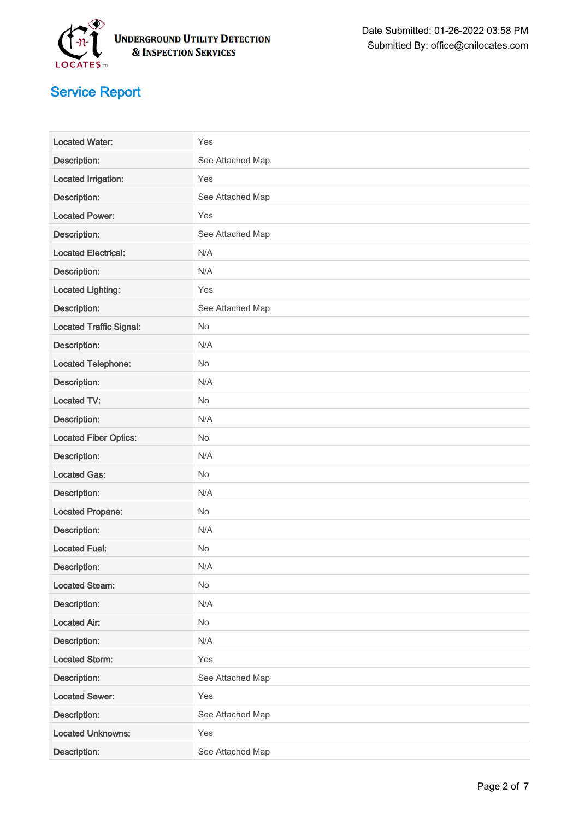

| <b>Located Water:</b>          | Yes              |
|--------------------------------|------------------|
| <b>Description:</b>            | See Attached Map |
| <b>Located Irrigation:</b>     | Yes              |
| Description:                   | See Attached Map |
| <b>Located Power:</b>          | Yes              |
| Description:                   | See Attached Map |
| <b>Located Electrical:</b>     | N/A              |
| Description:                   | N/A              |
| <b>Located Lighting:</b>       | Yes              |
| Description:                   | See Attached Map |
| <b>Located Traffic Signal:</b> | No               |
| Description:                   | N/A              |
| <b>Located Telephone:</b>      | No               |
| Description:                   | N/A              |
| <b>Located TV:</b>             | No               |
| Description:                   | N/A              |
| <b>Located Fiber Optics:</b>   | No               |
| Description:                   | N/A              |
| <b>Located Gas:</b>            | No               |
| Description:                   | N/A              |
| <b>Located Propane:</b>        | <b>No</b>        |
| Description:                   | N/A              |
| <b>Located Fuel:</b>           | No               |
| Description:                   | N/A              |
| <b>Located Steam:</b>          | <b>No</b>        |
| Description:                   | N/A              |
| <b>Located Air:</b>            | No               |
| Description:                   | N/A              |
| <b>Located Storm:</b>          | Yes              |
| Description:                   | See Attached Map |
| <b>Located Sewer:</b>          | Yes              |
| Description:                   | See Attached Map |
| <b>Located Unknowns:</b>       | Yes              |
| Description:                   | See Attached Map |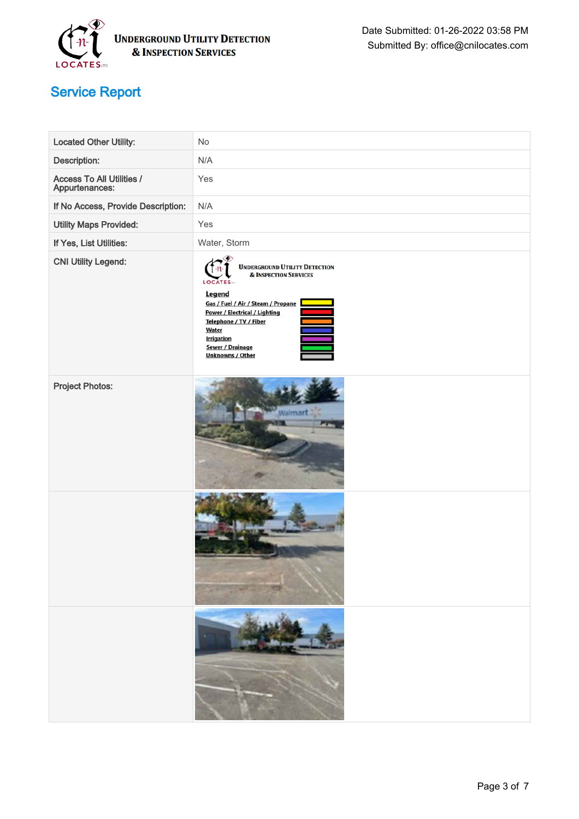

| Located Other Utility:                      | No                                                                                                                                                                                                                                                                                         |
|---------------------------------------------|--------------------------------------------------------------------------------------------------------------------------------------------------------------------------------------------------------------------------------------------------------------------------------------------|
| Description:                                | N/A                                                                                                                                                                                                                                                                                        |
| Access To All Utilities /<br>Appurtenances: | Yes                                                                                                                                                                                                                                                                                        |
| If No Access, Provide Description:          | N/A                                                                                                                                                                                                                                                                                        |
| <b>Utility Maps Provided:</b>               | Yes                                                                                                                                                                                                                                                                                        |
| If Yes, List Utilities:                     | Water, Storm                                                                                                                                                                                                                                                                               |
| <b>CNI Utility Legend:</b>                  | <b>UNDERGROUND UTILITY DETECTION<br/>&amp; INSPECTION SERVICES</b><br><b>LOCATES</b><br>Legend<br>Gas / Fuel / Air / Steam / Propane<br>Power / Electrical / Lighting<br>Telephone / TV / Fiber<br><b>Water</b><br><b>Irrigation</b><br><b>Sewer / Drainage</b><br><b>Unknowns / Other</b> |
| <b>Project Photos:</b>                      | Naimart                                                                                                                                                                                                                                                                                    |
|                                             |                                                                                                                                                                                                                                                                                            |
|                                             |                                                                                                                                                                                                                                                                                            |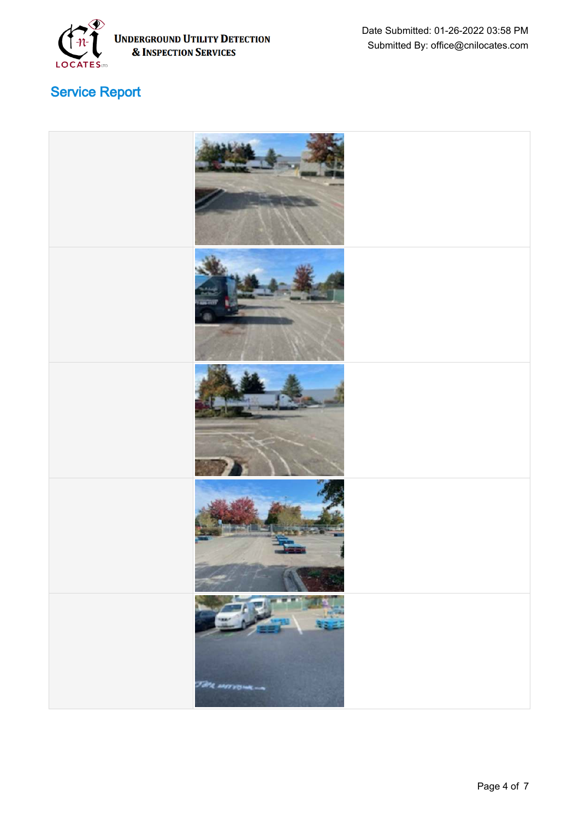

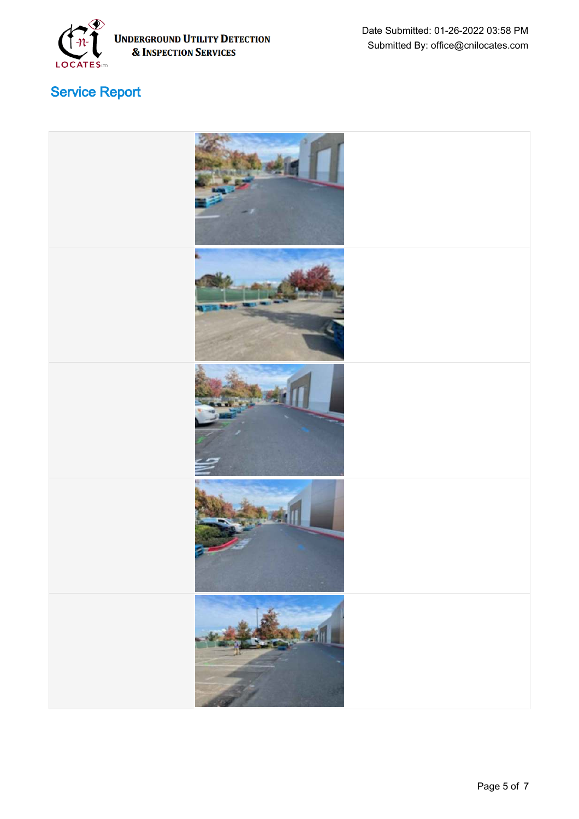

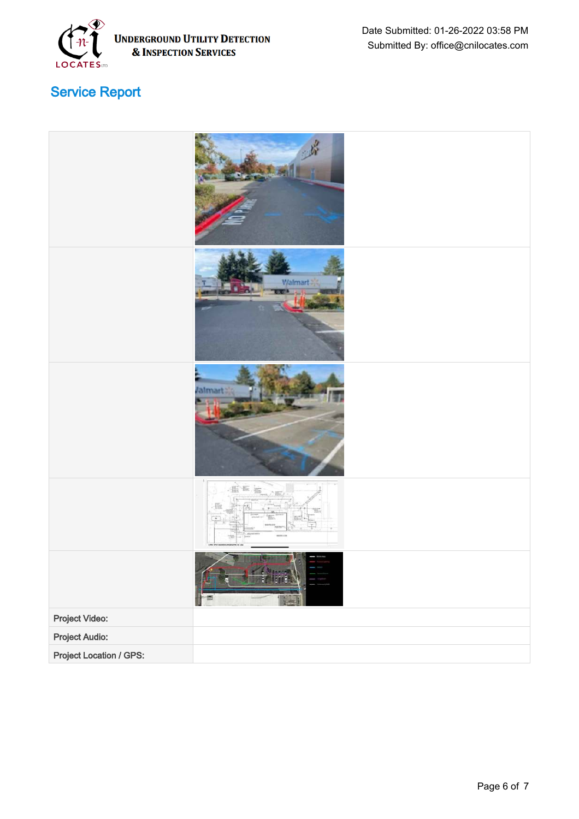

|                         | Walmart |
|-------------------------|---------|
|                         | arl     |
|                         |         |
|                         |         |
| Project Video:          |         |
| <b>Project Audio:</b>   |         |
| Project Location / GPS: |         |